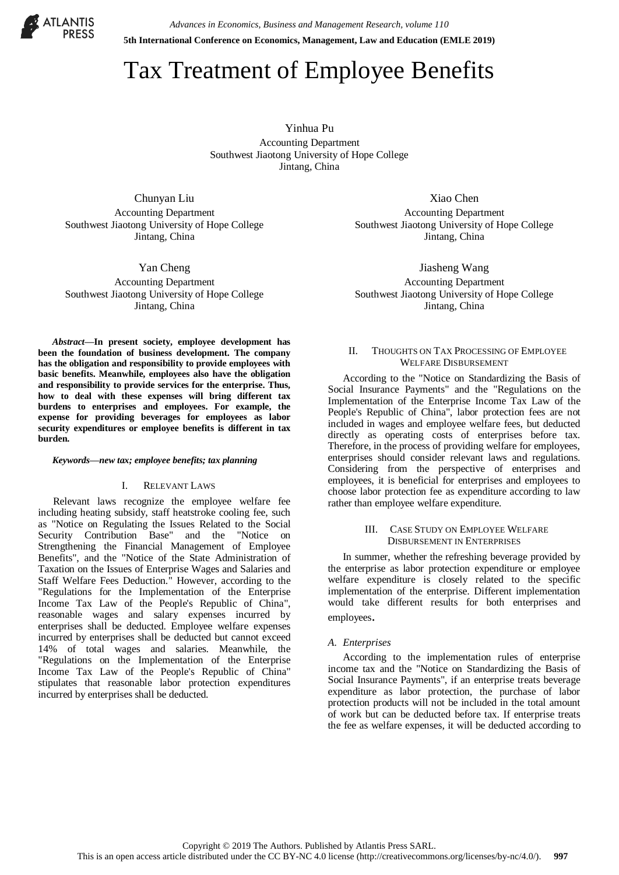

*Advances in Economics, Business and Management Research, volume 110* **5th International Conference on Economics, Management, Law and Education (EMLE 2019)**

# Tax Treatment of Employee Benefits

Yinhua Pu Accounting Department Southwest Jiaotong University of Hope College Jintang, China

Chunyan Liu Accounting Department Southwest Jiaotong University of Hope College Jintang, China

Yan Cheng Accounting Department Southwest Jiaotong University of Hope College Jintang, China

*Abstract***—In present society, employee development has been the foundation of business development. The company has the obligation and responsibility to provide employees with basic benefits. Meanwhile, employees also have the obligation and responsibility to provide services for the enterprise. Thus, how to deal with these expenses will bring different tax burdens to enterprises and employees. For example, the expense for providing beverages for employees as labor security expenditures or employee benefits is different in tax burden.**

#### *Keywords—new tax; employee benefits; tax planning*

#### I. RELEVANT LAWS

Relevant laws recognize the employee welfare fee including heating subsidy, staff heatstroke cooling fee, such as "Notice on Regulating the Issues Related to the Social Security Contribution Base" and the "Notice on Strengthening the Financial Management of Employee Benefits", and the "Notice of the State Administration of Taxation on the Issues of Enterprise Wages and Salaries and Staff Welfare Fees Deduction." However, according to the "Regulations for the Implementation of the Enterprise Income Tax Law of the People's Republic of China", reasonable wages and salary expenses incurred by enterprises shall be deducted. Employee welfare expenses incurred by enterprises shall be deducted but cannot exceed 14% of total wages and salaries. Meanwhile, the "Regulations on the Implementation of the Enterprise Income Tax Law of the People's Republic of China" stipulates that reasonable labor protection expenditures incurred by enterprises shall be deducted.

Xiao Chen Accounting Department Southwest Jiaotong University of Hope College Jintang, China

Jiasheng Wang Accounting Department Southwest Jiaotong University of Hope College Jintang, China

## II. THOUGHTS ON TAX PROCESSING OF EMPLOYEE WELFARE DISBURSEMENT

According to the "Notice on Standardizing the Basis of Social Insurance Payments" and the "Regulations on the Implementation of the Enterprise Income Tax Law of the People's Republic of China", labor protection fees are not included in wages and employee welfare fees, but deducted directly as operating costs of enterprises before tax. Therefore, in the process of providing welfare for employees, enterprises should consider relevant laws and regulations. Considering from the perspective of enterprises and employees, it is beneficial for enterprises and employees to choose labor protection fee as expenditure according to law rather than employee welfare expenditure.

# III. CASE STUDY ON EMPLOYEE WELFARE DISBURSEMENT IN ENTERPRISES

In summer, whether the refreshing beverage provided by the enterprise as labor protection expenditure or employee welfare expenditure is closely related to the specific implementation of the enterprise. Different implementation would take different results for both enterprises and employees.

## *A. Enterprises*

According to the implementation rules of enterprise income tax and the "Notice on Standardizing the Basis of Social Insurance Payments", if an enterprise treats beverage expenditure as labor protection, the purchase of labor protection products will not be included in the total amount of work but can be deducted before tax. If enterprise treats the fee as welfare expenses, it will be deducted according to